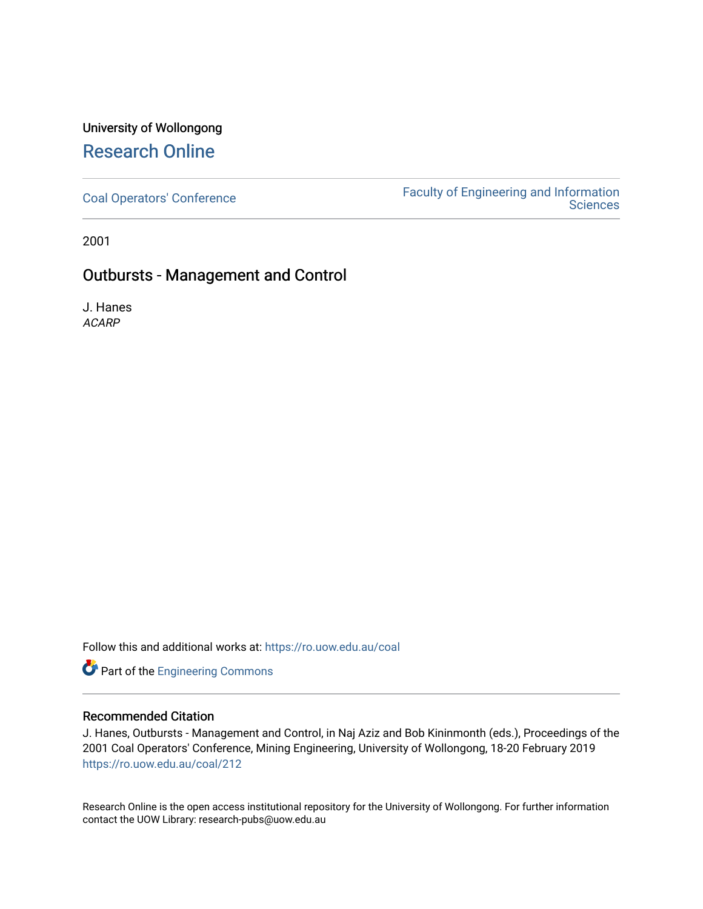## University of Wollongong [Research Online](https://ro.uow.edu.au/)

[Coal Operators' Conference](https://ro.uow.edu.au/coal) [Faculty of Engineering and Information](https://ro.uow.edu.au/eis)  **Sciences** 

2001

### Outbursts - Management and Control

J. Hanes ACARP

Follow this and additional works at: [https://ro.uow.edu.au/coal](https://ro.uow.edu.au/coal?utm_source=ro.uow.edu.au%2Fcoal%2F212&utm_medium=PDF&utm_campaign=PDFCoverPages) 

**Part of the [Engineering Commons](http://network.bepress.com/hgg/discipline/217?utm_source=ro.uow.edu.au%2Fcoal%2F212&utm_medium=PDF&utm_campaign=PDFCoverPages)** 

#### Recommended Citation

J. Hanes, Outbursts - Management and Control, in Naj Aziz and Bob Kininmonth (eds.), Proceedings of the 2001 Coal Operators' Conference, Mining Engineering, University of Wollongong, 18-20 February 2019 [https://ro.uow.edu.au/coal/212](https://ro.uow.edu.au/coal/212?utm_source=ro.uow.edu.au%2Fcoal%2F212&utm_medium=PDF&utm_campaign=PDFCoverPages) 

Research Online is the open access institutional repository for the University of Wollongong. For further information contact the UOW Library: research-pubs@uow.edu.au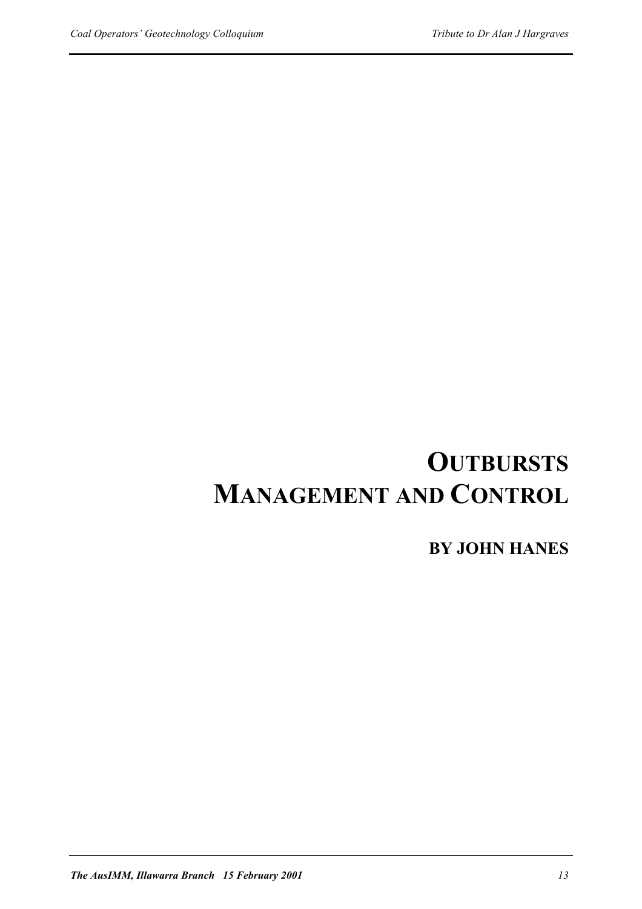# **OUTBURSTS MANAGEMENT AND CONTROL**

**BY JOHN HANES**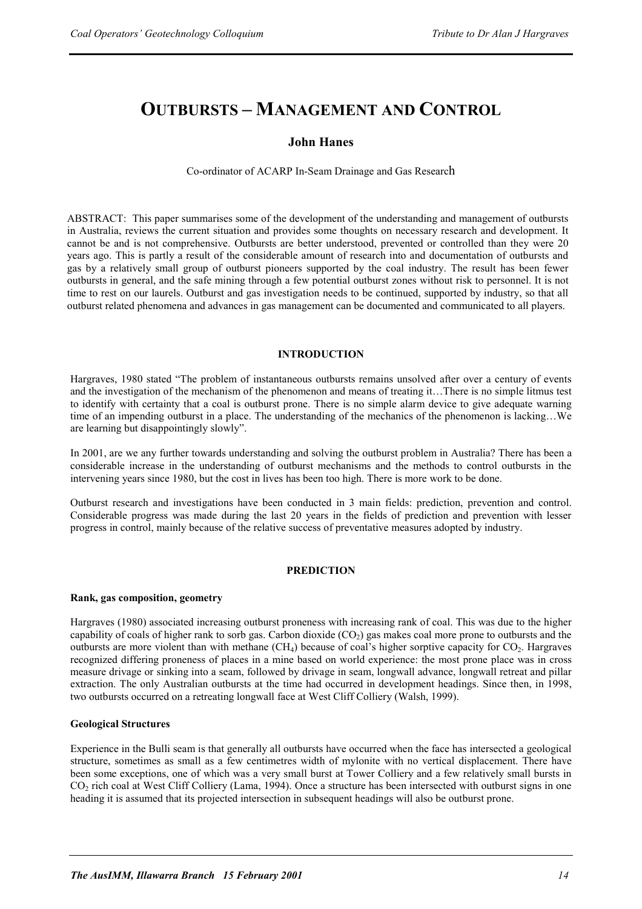## **OUTBURSTS – MANAGEMENT AND CONTROL**

#### **John Hanes**

Co-ordinator of ACARP In-Seam Drainage and Gas Research

ABSTRACT: This paper summarises some of the development of the understanding and management of outbursts in Australia, reviews the current situation and provides some thoughts on necessary research and development. It cannot be and is not comprehensive. Outbursts are better understood, prevented or controlled than they were 20 years ago. This is partly a result of the considerable amount of research into and documentation of outbursts and gas by a relatively small group of outburst pioneers supported by the coal industry. The result has been fewer outbursts in general, and the safe mining through a few potential outburst zones without risk to personnel. It is not time to rest on our laurels. Outburst and gas investigation needs to be continued, supported by industry, so that all outburst related phenomena and advances in gas management can be documented and communicated to all players.

#### **INTRODUCTION**

Hargraves, 1980 stated "The problem of instantaneous outbursts remains unsolved after over a century of events and the investigation of the mechanism of the phenomenon and means of treating it…There is no simple litmus test to identify with certainty that a coal is outburst prone. There is no simple alarm device to give adequate warning time of an impending outburst in a place. The understanding of the mechanics of the phenomenon is lacking…We are learning but disappointingly slowly".

In 2001, are we any further towards understanding and solving the outburst problem in Australia? There has been a considerable increase in the understanding of outburst mechanisms and the methods to control outbursts in the intervening years since 1980, but the cost in lives has been too high. There is more work to be done.

Outburst research and investigations have been conducted in 3 main fields: prediction, prevention and control. Considerable progress was made during the last 20 years in the fields of prediction and prevention with lesser progress in control, mainly because of the relative success of preventative measures adopted by industry.

#### **PREDICTION**

#### **Rank, gas composition, geometry**

Hargraves (1980) associated increasing outburst proneness with increasing rank of coal. This was due to the higher capability of coals of higher rank to sorb gas. Carbon dioxide  $(CO<sub>2</sub>)$  gas makes coal more prone to outbursts and the outbursts are more violent than with methane  $(CH_4)$  because of coal's higher sorptive capacity for  $CO_2$ . Hargraves recognized differing proneness of places in a mine based on world experience: the most prone place was in cross measure drivage or sinking into a seam, followed by drivage in seam, longwall advance, longwall retreat and pillar extraction. The only Australian outbursts at the time had occurred in development headings. Since then, in 1998, two outbursts occurred on a retreating longwall face at West Cliff Colliery (Walsh, 1999).

#### **Geological Structures**

Experience in the Bulli seam is that generally all outbursts have occurred when the face has intersected a geological structure, sometimes as small as a few centimetres width of mylonite with no vertical displacement. There have been some exceptions, one of which was a very small burst at Tower Colliery and a few relatively small bursts in CO2 rich coal at West Cliff Colliery (Lama, 1994). Once a structure has been intersected with outburst signs in one heading it is assumed that its projected intersection in subsequent headings will also be outburst prone.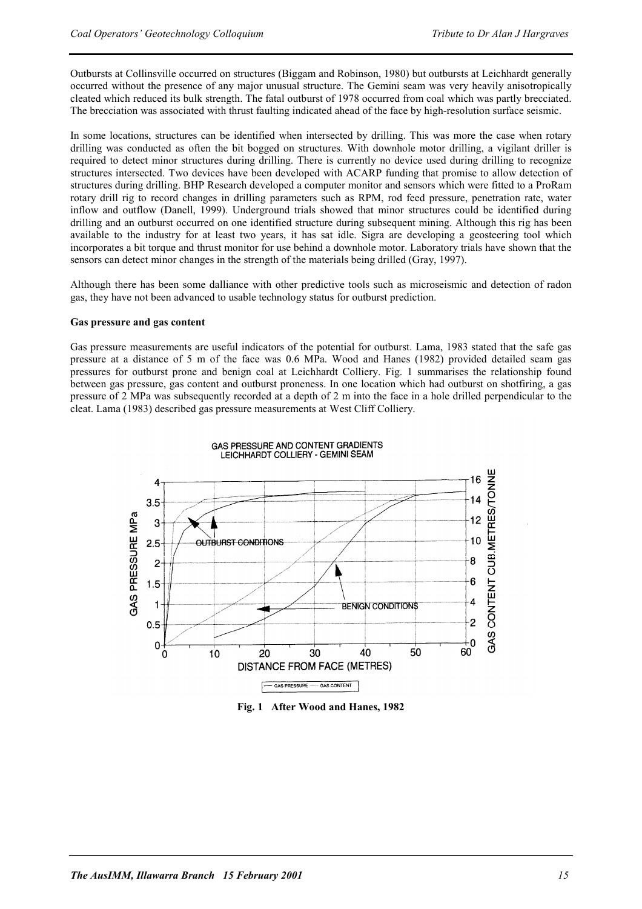Outbursts at Collinsville occurred on structures (Biggam and Robinson, 1980) but outbursts at Leichhardt generally occurred without the presence of any major unusual structure. The Gemini seam was very heavily anisotropically cleated which reduced its bulk strength. The fatal outburst of 1978 occurred from coal which was partly brecciated. The brecciation was associated with thrust faulting indicated ahead of the face by high-resolution surface seismic.

In some locations, structures can be identified when intersected by drilling. This was more the case when rotary drilling was conducted as often the bit bogged on structures. With downhole motor drilling, a vigilant driller is required to detect minor structures during drilling. There is currently no device used during drilling to recognize structures intersected. Two devices have been developed with ACARP funding that promise to allow detection of structures during drilling. BHP Research developed a computer monitor and sensors which were fitted to a ProRam rotary drill rig to record changes in drilling parameters such as RPM, rod feed pressure, penetration rate, water inflow and outflow (Danell, 1999). Underground trials showed that minor structures could be identified during drilling and an outburst occurred on one identified structure during subsequent mining. Although this rig has been available to the industry for at least two years, it has sat idle. Sigra are developing a geosteering tool which incorporates a bit torque and thrust monitor for use behind a downhole motor. Laboratory trials have shown that the sensors can detect minor changes in the strength of the materials being drilled (Gray, 1997).

Although there has been some dalliance with other predictive tools such as microseismic and detection of radon gas, they have not been advanced to usable technology status for outburst prediction.

#### **Gas pressure and gas content**

Gas pressure measurements are useful indicators of the potential for outburst. Lama, 1983 stated that the safe gas pressure at a distance of 5 m of the face was 0.6 MPa. Wood and Hanes (1982) provided detailed seam gas pressures for outburst prone and benign coal at Leichhardt Colliery. Fig. 1 summarises the relationship found between gas pressure, gas content and outburst proneness. In one location which had outburst on shotfiring, a gas pressure of 2 MPa was subsequently recorded at a depth of 2 m into the face in a hole drilled perpendicular to the cleat. Lama (1983) described gas pressure measurements at West Cliff Colliery.



**Fig. 1 After Wood and Hanes, 1982**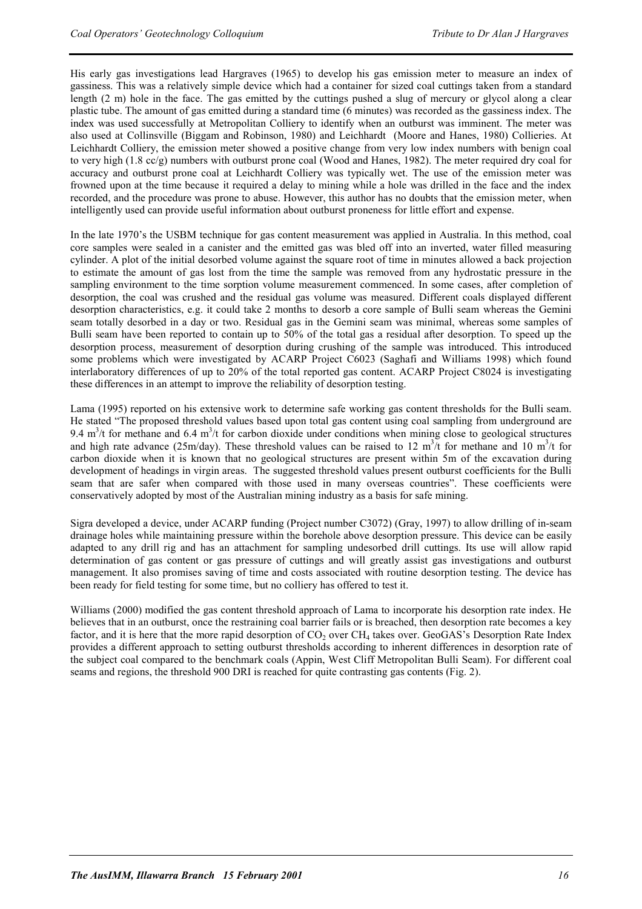His early gas investigations lead Hargraves (1965) to develop his gas emission meter to measure an index of gassiness. This was a relatively simple device which had a container for sized coal cuttings taken from a standard length (2 m) hole in the face. The gas emitted by the cuttings pushed a slug of mercury or glycol along a clear plastic tube. The amount of gas emitted during a standard time (6 minutes) was recorded as the gassiness index. The index was used successfully at Metropolitan Colliery to identify when an outburst was imminent. The meter was also used at Collinsville (Biggam and Robinson, 1980) and Leichhardt (Moore and Hanes, 1980) Collieries. At Leichhardt Colliery, the emission meter showed a positive change from very low index numbers with benign coal to very high (1.8 cc/g) numbers with outburst prone coal (Wood and Hanes, 1982). The meter required dry coal for accuracy and outburst prone coal at Leichhardt Colliery was typically wet. The use of the emission meter was frowned upon at the time because it required a delay to mining while a hole was drilled in the face and the index recorded, and the procedure was prone to abuse. However, this author has no doubts that the emission meter, when intelligently used can provide useful information about outburst proneness for little effort and expense.

In the late 1970's the USBM technique for gas content measurement was applied in Australia. In this method, coal core samples were sealed in a canister and the emitted gas was bled off into an inverted, water filled measuring cylinder. A plot of the initial desorbed volume against the square root of time in minutes allowed a back projection to estimate the amount of gas lost from the time the sample was removed from any hydrostatic pressure in the sampling environment to the time sorption volume measurement commenced. In some cases, after completion of desorption, the coal was crushed and the residual gas volume was measured. Different coals displayed different desorption characteristics, e.g. it could take 2 months to desorb a core sample of Bulli seam whereas the Gemini seam totally desorbed in a day or two. Residual gas in the Gemini seam was minimal, whereas some samples of Bulli seam have been reported to contain up to 50% of the total gas a residual after desorption. To speed up the desorption process, measurement of desorption during crushing of the sample was introduced. This introduced some problems which were investigated by ACARP Project C6023 (Saghafi and Williams 1998) which found interlaboratory differences of up to 20% of the total reported gas content. ACARP Project C8024 is investigating these differences in an attempt to improve the reliability of desorption testing.

Lama (1995) reported on his extensive work to determine safe working gas content thresholds for the Bulli seam. He stated "The proposed threshold values based upon total gas content using coal sampling from underground are 9.4  $m<sup>3</sup>/t$  for methane and 6.4  $m<sup>3</sup>/t$  for carbon dioxide under conditions when mining close to geological structures and high rate advance (25m/day). These threshold values can be raised to 12 m<sup>3</sup>/t for methane and 10 m<sup>3</sup>/t for carbon dioxide when it is known that no geological structures are present within 5m of the excavation during development of headings in virgin areas. The suggested threshold values present outburst coefficients for the Bulli seam that are safer when compared with those used in many overseas countries". These coefficients were conservatively adopted by most of the Australian mining industry as a basis for safe mining.

Sigra developed a device, under ACARP funding (Project number C3072) (Gray, 1997) to allow drilling of in-seam drainage holes while maintaining pressure within the borehole above desorption pressure. This device can be easily adapted to any drill rig and has an attachment for sampling undesorbed drill cuttings. Its use will allow rapid determination of gas content or gas pressure of cuttings and will greatly assist gas investigations and outburst management. It also promises saving of time and costs associated with routine desorption testing. The device has been ready for field testing for some time, but no colliery has offered to test it.

Williams (2000) modified the gas content threshold approach of Lama to incorporate his desorption rate index. He believes that in an outburst, once the restraining coal barrier fails or is breached, then desorption rate becomes a key factor, and it is here that the more rapid desorption of  $CO<sub>2</sub>$  over  $CH<sub>4</sub>$  takes over. GeoGAS's Desorption Rate Index provides a different approach to setting outburst thresholds according to inherent differences in desorption rate of the subject coal compared to the benchmark coals (Appin, West Cliff Metropolitan Bulli Seam). For different coal seams and regions, the threshold 900 DRI is reached for quite contrasting gas contents (Fig. 2).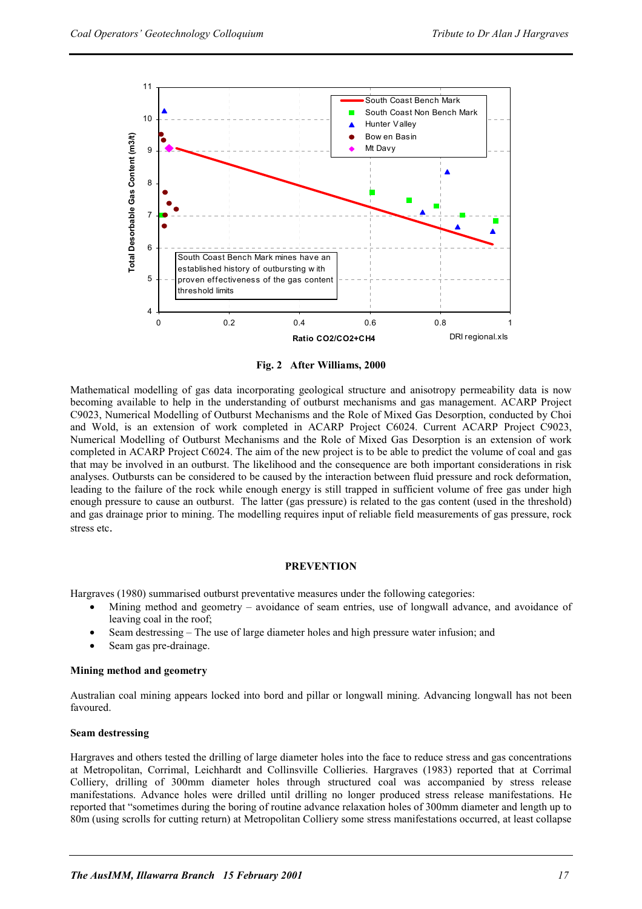

**Fig. 2 After Williams, 2000** 

Mathematical modelling of gas data incorporating geological structure and anisotropy permeability data is now becoming available to help in the understanding of outburst mechanisms and gas management. ACARP Project C9023, Numerical Modelling of Outburst Mechanisms and the Role of Mixed Gas Desorption, conducted by Choi and Wold, is an extension of work completed in ACARP Project C6024. Current ACARP Project C9023, Numerical Modelling of Outburst Mechanisms and the Role of Mixed Gas Desorption is an extension of work completed in ACARP Project C6024. The aim of the new project is to be able to predict the volume of coal and gas that may be involved in an outburst. The likelihood and the consequence are both important considerations in risk analyses. Outbursts can be considered to be caused by the interaction between fluid pressure and rock deformation, leading to the failure of the rock while enough energy is still trapped in sufficient volume of free gas under high enough pressure to cause an outburst. The latter (gas pressure) is related to the gas content (used in the threshold) and gas drainage prior to mining. The modelling requires input of reliable field measurements of gas pressure, rock stress etc.

#### **PREVENTION**

Hargraves (1980) summarised outburst preventative measures under the following categories:

- Mining method and geometry avoidance of seam entries, use of longwall advance, and avoidance of leaving coal in the roof;
- Seam destressing The use of large diameter holes and high pressure water infusion; and
- Seam gas pre-drainage.

#### **Mining method and geometry**

Australian coal mining appears locked into bord and pillar or longwall mining. Advancing longwall has not been favoured.

#### **Seam destressing**

Hargraves and others tested the drilling of large diameter holes into the face to reduce stress and gas concentrations at Metropolitan, Corrimal, Leichhardt and Collinsville Collieries. Hargraves (1983) reported that at Corrimal Colliery, drilling of 300mm diameter holes through structured coal was accompanied by stress release manifestations. Advance holes were drilled until drilling no longer produced stress release manifestations. He reported that "sometimes during the boring of routine advance relaxation holes of 300mm diameter and length up to 80m (using scrolls for cutting return) at Metropolitan Colliery some stress manifestations occurred, at least collapse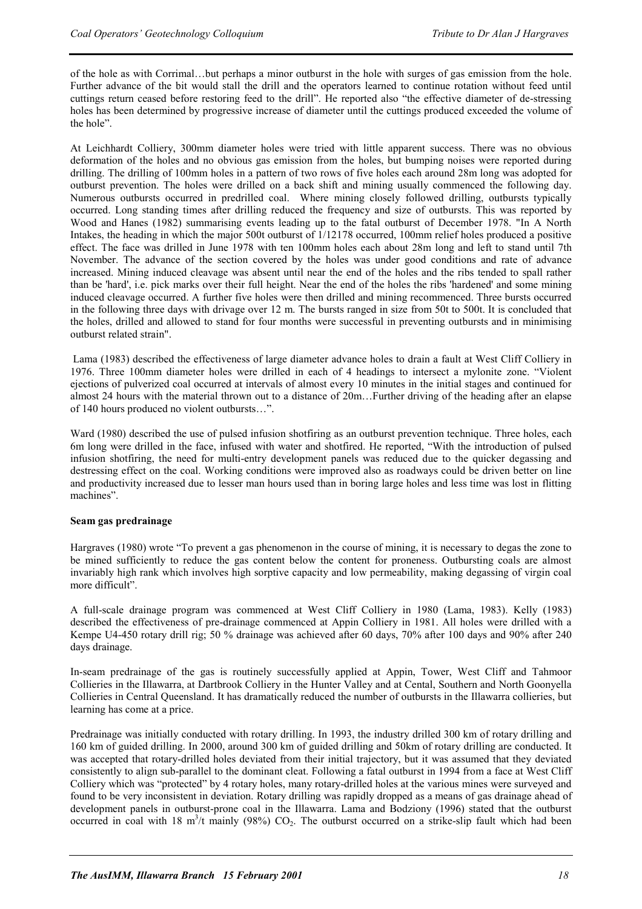of the hole as with Corrimal…but perhaps a minor outburst in the hole with surges of gas emission from the hole. Further advance of the bit would stall the drill and the operators learned to continue rotation without feed until cuttings return ceased before restoring feed to the drill". He reported also "the effective diameter of de-stressing holes has been determined by progressive increase of diameter until the cuttings produced exceeded the volume of the hole".

At Leichhardt Colliery, 300mm diameter holes were tried with little apparent success. There was no obvious deformation of the holes and no obvious gas emission from the holes, but bumping noises were reported during drilling. The drilling of 100mm holes in a pattern of two rows of five holes each around 28m long was adopted for outburst prevention. The holes were drilled on a back shift and mining usually commenced the following day. Numerous outbursts occurred in predrilled coal. Where mining closely followed drilling, outbursts typically occurred. Long standing times after drilling reduced the frequency and size of outbursts. This was reported by Wood and Hanes (1982) summarising events leading up to the fatal outburst of December 1978. "In A North Intakes, the heading in which the major 500t outburst of 1/12178 occurred, 100mm relief holes produced a positive effect. The face was drilled in June 1978 with ten 100mm holes each about 28m long and left to stand until 7th November. The advance of the section covered by the holes was under good conditions and rate of advance increased. Mining induced cleavage was absent until near the end of the holes and the ribs tended to spall rather than be 'hard', i.e. pick marks over their full height. Near the end of the holes the ribs 'hardened' and some mining induced cleavage occurred. A further five holes were then drilled and mining recommenced. Three bursts occurred in the following three days with drivage over 12 m. The bursts ranged in size from 50t to 500t. It is concluded that the holes, drilled and allowed to stand for four months were successful in preventing outbursts and in minimising outburst related strain".

 Lama (1983) described the effectiveness of large diameter advance holes to drain a fault at West Cliff Colliery in 1976. Three 100mm diameter holes were drilled in each of 4 headings to intersect a mylonite zone. "Violent ejections of pulverized coal occurred at intervals of almost every 10 minutes in the initial stages and continued for almost 24 hours with the material thrown out to a distance of 20m…Further driving of the heading after an elapse of 140 hours produced no violent outbursts…".

Ward (1980) described the use of pulsed infusion shotfiring as an outburst prevention technique. Three holes, each 6m long were drilled in the face, infused with water and shotfired. He reported, "With the introduction of pulsed infusion shotfiring, the need for multi-entry development panels was reduced due to the quicker degassing and destressing effect on the coal. Working conditions were improved also as roadways could be driven better on line and productivity increased due to lesser man hours used than in boring large holes and less time was lost in flitting machines".

#### **Seam gas predrainage**

Hargraves (1980) wrote "To prevent a gas phenomenon in the course of mining, it is necessary to degas the zone to be mined sufficiently to reduce the gas content below the content for proneness. Outbursting coals are almost invariably high rank which involves high sorptive capacity and low permeability, making degassing of virgin coal more difficult".

A full-scale drainage program was commenced at West Cliff Colliery in 1980 (Lama, 1983). Kelly (1983) described the effectiveness of pre-drainage commenced at Appin Colliery in 1981. All holes were drilled with a Kempe U4-450 rotary drill rig; 50 % drainage was achieved after 60 days, 70% after 100 days and 90% after 240 days drainage.

In-seam predrainage of the gas is routinely successfully applied at Appin, Tower, West Cliff and Tahmoor Collieries in the Illawarra, at Dartbrook Colliery in the Hunter Valley and at Cental, Southern and North Goonyella Collieries in Central Queensland. It has dramatically reduced the number of outbursts in the Illawarra collieries, but learning has come at a price.

Predrainage was initially conducted with rotary drilling. In 1993, the industry drilled 300 km of rotary drilling and 160 km of guided drilling. In 2000, around 300 km of guided drilling and 50km of rotary drilling are conducted. It was accepted that rotary-drilled holes deviated from their initial trajectory, but it was assumed that they deviated consistently to align sub-parallel to the dominant cleat. Following a fatal outburst in 1994 from a face at West Cliff Colliery which was "protected" by 4 rotary holes, many rotary-drilled holes at the various mines were surveyed and found to be very inconsistent in deviation. Rotary drilling was rapidly dropped as a means of gas drainage ahead of development panels in outburst-prone coal in the Illawarra. Lama and Bodziony (1996) stated that the outburst occurred in coal with 18 m<sup>3</sup>/t mainly (98%)  $CO<sub>2</sub>$ . The outburst occurred on a strike-slip fault which had been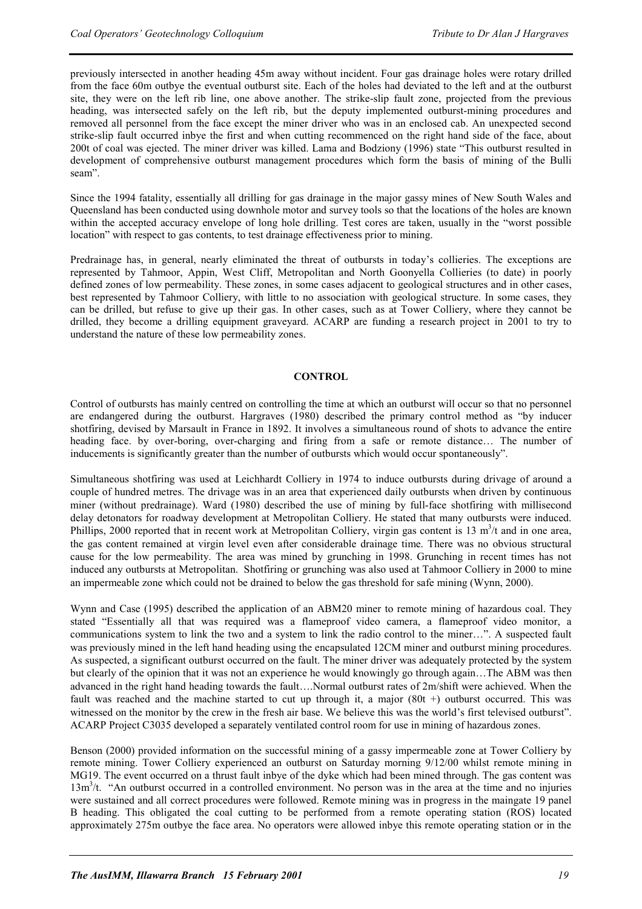previously intersected in another heading 45m away without incident. Four gas drainage holes were rotary drilled from the face 60m outbye the eventual outburst site. Each of the holes had deviated to the left and at the outburst site, they were on the left rib line, one above another. The strike-slip fault zone, projected from the previous heading, was intersected safely on the left rib, but the deputy implemented outburst-mining procedures and removed all personnel from the face except the miner driver who was in an enclosed cab. An unexpected second strike-slip fault occurred inbye the first and when cutting recommenced on the right hand side of the face, about 200t of coal was ejected. The miner driver was killed. Lama and Bodziony (1996) state "This outburst resulted in development of comprehensive outburst management procedures which form the basis of mining of the Bulli seam".

Since the 1994 fatality, essentially all drilling for gas drainage in the major gassy mines of New South Wales and Queensland has been conducted using downhole motor and survey tools so that the locations of the holes are known within the accepted accuracy envelope of long hole drilling. Test cores are taken, usually in the "worst possible" location" with respect to gas contents, to test drainage effectiveness prior to mining.

Predrainage has, in general, nearly eliminated the threat of outbursts in today's collieries. The exceptions are represented by Tahmoor, Appin, West Cliff, Metropolitan and North Goonyella Collieries (to date) in poorly defined zones of low permeability. These zones, in some cases adjacent to geological structures and in other cases, best represented by Tahmoor Colliery, with little to no association with geological structure. In some cases, they can be drilled, but refuse to give up their gas. In other cases, such as at Tower Colliery, where they cannot be drilled, they become a drilling equipment graveyard. ACARP are funding a research project in 2001 to try to understand the nature of these low permeability zones.

#### **CONTROL**

Control of outbursts has mainly centred on controlling the time at which an outburst will occur so that no personnel are endangered during the outburst. Hargraves (1980) described the primary control method as "by inducer shotfiring, devised by Marsault in France in 1892. It involves a simultaneous round of shots to advance the entire heading face. by over-boring, over-charging and firing from a safe or remote distance… The number of inducements is significantly greater than the number of outbursts which would occur spontaneously".

Simultaneous shotfiring was used at Leichhardt Colliery in 1974 to induce outbursts during drivage of around a couple of hundred metres. The drivage was in an area that experienced daily outbursts when driven by continuous miner (without predrainage). Ward (1980) described the use of mining by full-face shotfiring with millisecond delay detonators for roadway development at Metropolitan Colliery. He stated that many outbursts were induced. Phillips, 2000 reported that in recent work at Metropolitan Colliery, virgin gas content is 13  $m<sup>3</sup>/t$  and in one area, the gas content remained at virgin level even after considerable drainage time. There was no obvious structural cause for the low permeability. The area was mined by grunching in 1998. Grunching in recent times has not induced any outbursts at Metropolitan. Shotfiring or grunching was also used at Tahmoor Colliery in 2000 to mine an impermeable zone which could not be drained to below the gas threshold for safe mining (Wynn, 2000).

Wynn and Case (1995) described the application of an ABM20 miner to remote mining of hazardous coal. They stated "Essentially all that was required was a flameproof video camera, a flameproof video monitor, a communications system to link the two and a system to link the radio control to the miner…". A suspected fault was previously mined in the left hand heading using the encapsulated 12CM miner and outburst mining procedures. As suspected, a significant outburst occurred on the fault. The miner driver was adequately protected by the system but clearly of the opinion that it was not an experience he would knowingly go through again…The ABM was then advanced in the right hand heading towards the fault….Normal outburst rates of 2m/shift were achieved. When the fault was reached and the machine started to cut up through it, a major  $(80t +)$  outburst occurred. This was witnessed on the monitor by the crew in the fresh air base. We believe this was the world's first televised outburst". ACARP Project C3035 developed a separately ventilated control room for use in mining of hazardous zones.

Benson (2000) provided information on the successful mining of a gassy impermeable zone at Tower Colliery by remote mining. Tower Colliery experienced an outburst on Saturday morning 9/12/00 whilst remote mining in MG19. The event occurred on a thrust fault inbye of the dyke which had been mined through. The gas content was 13m<sup>3</sup>/t. "An outburst occurred in a controlled environment. No person was in the area at the time and no injuries were sustained and all correct procedures were followed. Remote mining was in progress in the maingate 19 panel B heading. This obligated the coal cutting to be performed from a remote operating station (ROS) located approximately 275m outbye the face area. No operators were allowed inbye this remote operating station or in the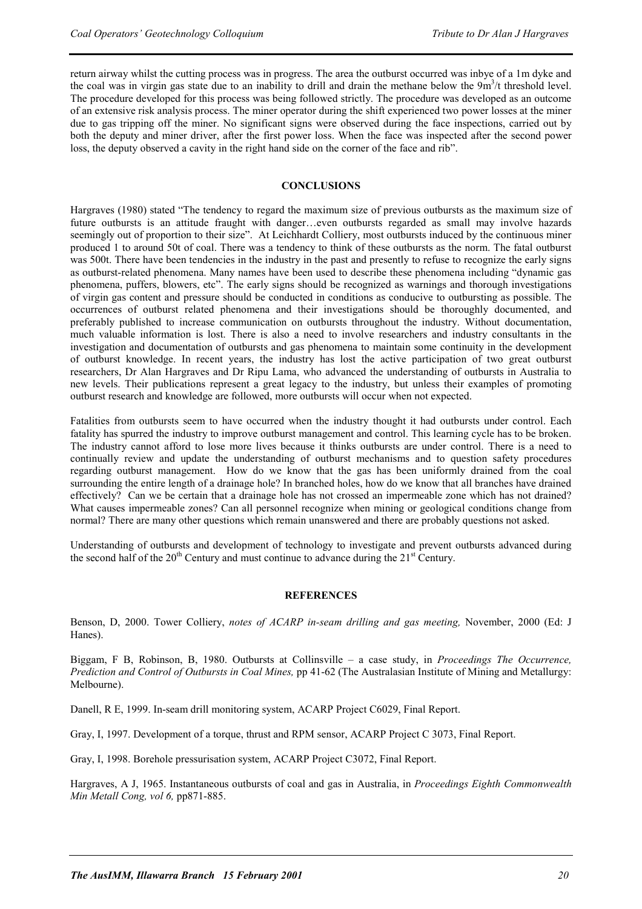return airway whilst the cutting process was in progress. The area the outburst occurred was inbye of a 1m dyke and the coal was in virgin gas state due to an inability to drill and drain the methane below the  $9m<sup>3</sup>/t$  threshold level. The procedure developed for this process was being followed strictly. The procedure was developed as an outcome of an extensive risk analysis process. The miner operator during the shift experienced two power losses at the miner due to gas tripping off the miner. No significant signs were observed during the face inspections, carried out by both the deputy and miner driver, after the first power loss. When the face was inspected after the second power loss, the deputy observed a cavity in the right hand side on the corner of the face and rib".

#### **CONCLUSIONS**

Hargraves (1980) stated "The tendency to regard the maximum size of previous outbursts as the maximum size of future outbursts is an attitude fraught with danger…even outbursts regarded as small may involve hazards seemingly out of proportion to their size". At Leichhardt Colliery, most outbursts induced by the continuous miner produced 1 to around 50t of coal. There was a tendency to think of these outbursts as the norm. The fatal outburst was 500t. There have been tendencies in the industry in the past and presently to refuse to recognize the early signs as outburst-related phenomena. Many names have been used to describe these phenomena including "dynamic gas phenomena, puffers, blowers, etc". The early signs should be recognized as warnings and thorough investigations of virgin gas content and pressure should be conducted in conditions as conducive to outbursting as possible. The occurrences of outburst related phenomena and their investigations should be thoroughly documented, and preferably published to increase communication on outbursts throughout the industry. Without documentation, much valuable information is lost. There is also a need to involve researchers and industry consultants in the investigation and documentation of outbursts and gas phenomena to maintain some continuity in the development of outburst knowledge. In recent years, the industry has lost the active participation of two great outburst researchers, Dr Alan Hargraves and Dr Ripu Lama, who advanced the understanding of outbursts in Australia to new levels. Their publications represent a great legacy to the industry, but unless their examples of promoting outburst research and knowledge are followed, more outbursts will occur when not expected.

Fatalities from outbursts seem to have occurred when the industry thought it had outbursts under control. Each fatality has spurred the industry to improve outburst management and control. This learning cycle has to be broken. The industry cannot afford to lose more lives because it thinks outbursts are under control. There is a need to continually review and update the understanding of outburst mechanisms and to question safety procedures regarding outburst management. How do we know that the gas has been uniformly drained from the coal surrounding the entire length of a drainage hole? In branched holes, how do we know that all branches have drained effectively? Can we be certain that a drainage hole has not crossed an impermeable zone which has not drained? What causes impermeable zones? Can all personnel recognize when mining or geological conditions change from normal? There are many other questions which remain unanswered and there are probably questions not asked.

Understanding of outbursts and development of technology to investigate and prevent outbursts advanced during the second half of the  $20<sup>th</sup>$  Century and must continue to advance during the  $21<sup>st</sup>$  Century.

#### **REFERENCES**

Benson, D, 2000. Tower Colliery, *notes of ACARP in-seam drilling and gas meeting,* November, 2000 (Ed: J Hanes).

Biggam, F B, Robinson, B, 1980. Outbursts at Collinsville – a case study, in *Proceedings The Occurrence, Prediction and Control of Outbursts in Coal Mines,* pp 41-62 (The Australasian Institute of Mining and Metallurgy: Melbourne).

Danell, R E, 1999. In-seam drill monitoring system, ACARP Project C6029, Final Report.

Gray, I, 1997. Development of a torque, thrust and RPM sensor, ACARP Project C 3073, Final Report.

Gray, I, 1998. Borehole pressurisation system, ACARP Project C3072, Final Report.

Hargraves, A J, 1965. Instantaneous outbursts of coal and gas in Australia, in *Proceedings Eighth Commonwealth Min Metall Cong, vol 6,* pp871-885.